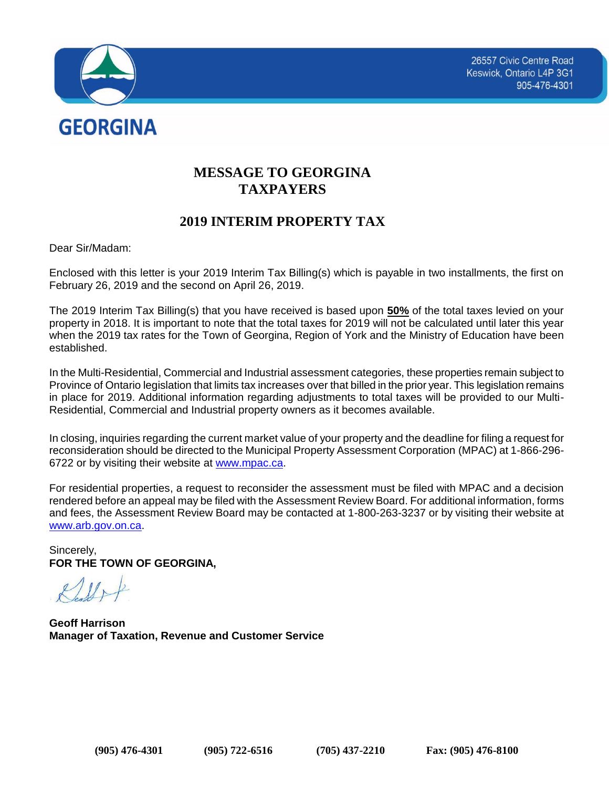

# **MESSAGE TO GEORGINA TAXPAYERS**

## **2019 INTERIM PROPERTY TAX**

Dear Sir/Madam:

Enclosed with this letter is your 2019 Interim Tax Billing(s) which is payable in two installments, the first on February 26, 2019 and the second on April 26, 2019.

The 2019 Interim Tax Billing(s) that you have received is based upon **50%** of the total taxes levied on your property in 2018. It is important to note that the total taxes for 2019 will not be calculated until later this year when the 2019 tax rates for the Town of Georgina, Region of York and the Ministry of Education have been established.

In the Multi-Residential, Commercial and Industrial assessment categories, these properties remain subject to Province of Ontario legislation that limits tax increases over that billed in the prior year. This legislation remains in place for 2019. Additional information regarding adjustments to total taxes will be provided to our Multi-Residential, Commercial and Industrial property owners as it becomes available.

In closing, inquiries regarding the current market value of your property and the deadline for filing a request for reconsideration should be directed to the Municipal Property Assessment Corporation (MPAC) at 1-866-296- 6722 or by visiting their website at [www.mpac.ca.](http://www.mpac.ca/)

For residential properties, a request to reconsider the assessment must be filed with MPAC and a decision rendered before an appeal may be filed with the Assessment Review Board. For additional information, forms and fees, the Assessment Review Board may be contacted at 1-800-263-3237 or by visiting their website at [www.arb.gov.on.ca.](http://www.arb.gov.on.ca/)

Sincerely, **FOR THE TOWN OF GEORGINA,**

**Geoff Harrison Manager of Taxation, Revenue and Customer Service**